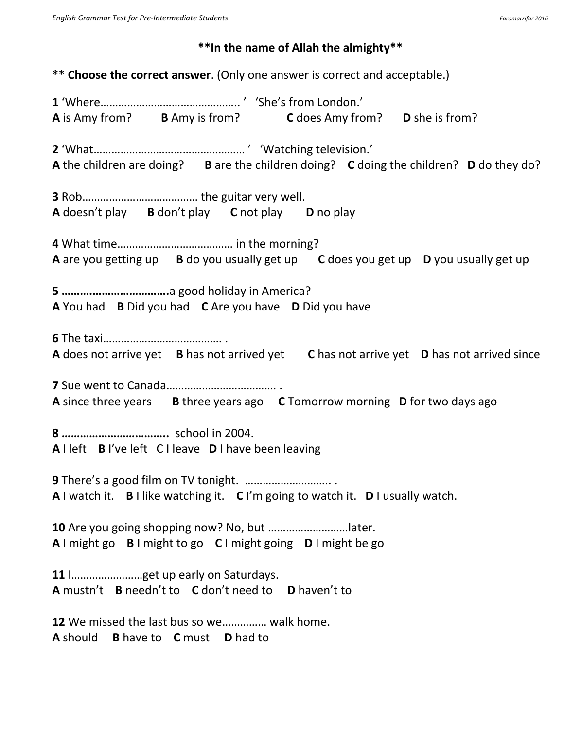## **\*\*In the name of Allah the almighty\*\***

**\*\* Choose the correct answer**. (Only one answer is correct and acceptable.)

**1** 'Where……………………………………….. ' 'She's from London.' **A** is Amy from? **B** Amy is from? **C** does Amy from? **D** she is from? **2** 'What…………………………………………… ' 'Watching television.' **A** the children are doing? **B** are the children doing? **C** doing the children? **D** do they do? **3** Rob………………………………… the guitar very well. **A** doesn't play **B** don't play **C** not play **D** no play **4** What time………………………………… in the morning? **A** are you getting up **B** do you usually get up **C** does you get up **D** you usually get up **5 ……….…………………….**a good holiday in America? **A** You had **B** Did you had **C** Are you have **D** Did you have **6** The taxi…………………………………. . **A** does not arrive yet **B** has not arrived yet **C** has not arrive yet **D** has not arrived since **7** Sue went to Canada………………………………. . **A** since three years **B** three years ago **C** Tomorrow morning **D** for two days ago **8 ……………………………..** school in 2004. **A** I left **B** I've left C I leave **D** I have been leaving **9** There's a good film on TV tonight. ……………………….. . **A** I watch it. **B** I like watching it. **C** I'm going to watch it. **D** I usually watch. **10** Are you going shopping now? No, but ………………………later. **A** I might go **B** I might to go **C** I might going **D** I might be go **11** I……………………get up early on Saturdays. **A** mustn't **B** needn't to **C** don't need to **D** haven't to **12** We missed the last bus so we…………… walk home. **A** should **B** have to **C** must **D** had to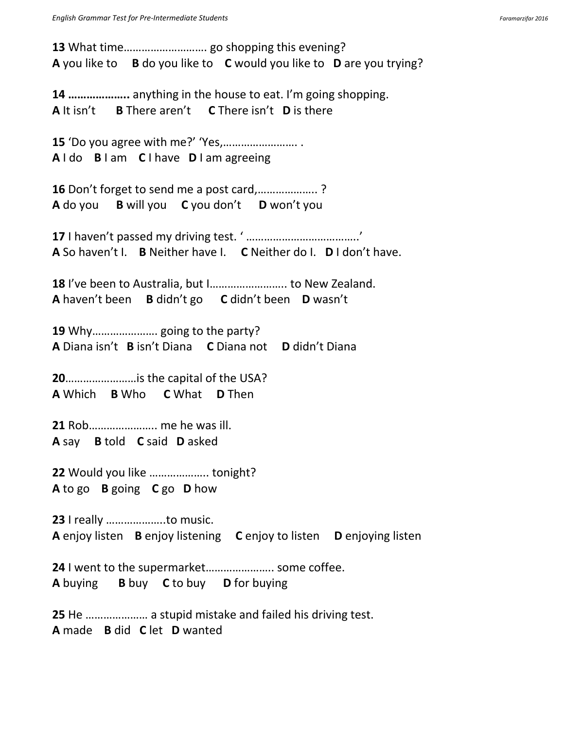**13** What time………………………. go shopping this evening? **A** you like to **B** do you like to **C** would you like to **D** are you trying? **14 ………………..** anything in the house to eat. I'm going shopping. **A** It isn't **B** There aren't **C** There isn't **D** is there **15** 'Do you agree with me?' 'Yes,……………………. . **A** I do **B** I am **C** I have **D** I am agreeing **16** Don't forget to send me a post card,……………….. ? **A** do you **B** will you **C** you don't **D** won't you **17** I haven't passed my driving test. ' ………………………………..' **A** So haven't I. **B** Neither have I. **C** Neither do I. **D** I don't have. **18** I've been to Australia, but I…………………….. to New Zealand. **A** haven't been **B** didn't go **C** didn't been **D** wasn't **19** Why…………………. going to the party? **A** Diana isn't **B** isn't Diana **C** Diana not **D** didn't Diana **20**……………………is the capital of the USA? **A** Which **B** Who **C** What **D** Then **21** Rob………………….. me he was ill. **A** say **B** told **C** said **D** asked **22** Would you like ……………….. tonight? **A** to go **B** going **C** go **D** how **23** I really ………………..to music. **A** enjoy listen **B** enjoy listening **C** enjoy to listen **D** enjoying listen **24** I went to the supermarket………………….. some coffee. **A** buying **B** buy **C** to buy **D** for buying **25** He ………………… a stupid mistake and failed his driving test. **A** made **B** did **C** let **D** wanted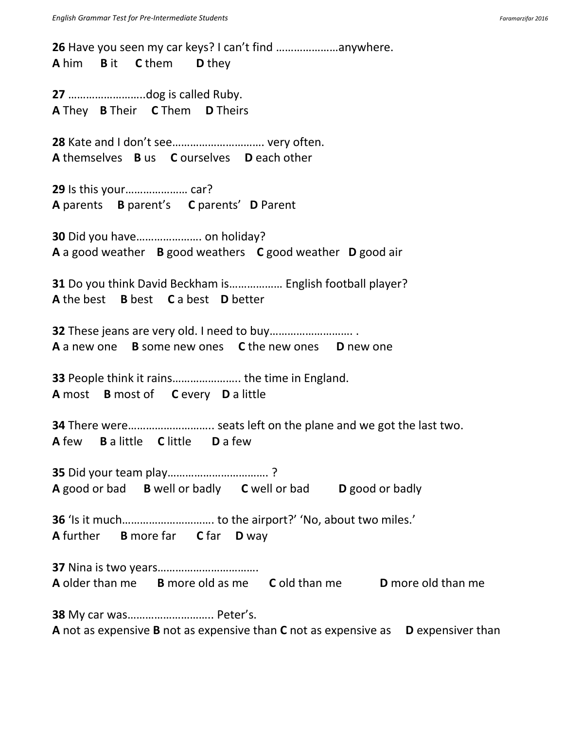**26** Have you seen my car keys? I can't find …………………anywhere. **A** him **B** it **C** them **D** they **27** ……………………..dog is called Ruby. **A** They **B** Their **C** Them **D** Theirs **28** Kate and I don't see…………………………. very often. **A** themselves **B** us **C** ourselves **D** each other **29** Is this your………………… car? **A** parents **B** parent's **C** parents' **D** Parent **30** Did you have…………………. on holiday? **A** a good weather **B** good weathers **C** good weather **D** good air **31** Do you think David Beckham is……………… English football player? **A** the best **B** best **C** a best **D** better **32** These jeans are very old. I need to buy………………………. . **A** a new one **B** some new ones **C** the new ones **D** new one **33** People think it rains………………….. the time in England. **A** most **B** most of **C** every **D** a little **34** There were……………………….. seats left on the plane and we got the last two. **A** few **B** a little **C** little **D** a few **35** Did your team play……………………………. ? **A** good or bad **B** well or badly **C** well or bad **D** good or badly **36** 'Is it much…………………………. to the airport?' 'No, about two miles.' **A** further **B** more far **C** far **D** way **37** Nina is two years……………………………. **A** older than me **B** more old as me **C** old than me **D** more old than me **38** My car was……………………….. Peter's. **A** not as expensive **B** not as expensive than **C** not as expensive as **D** expensiver than